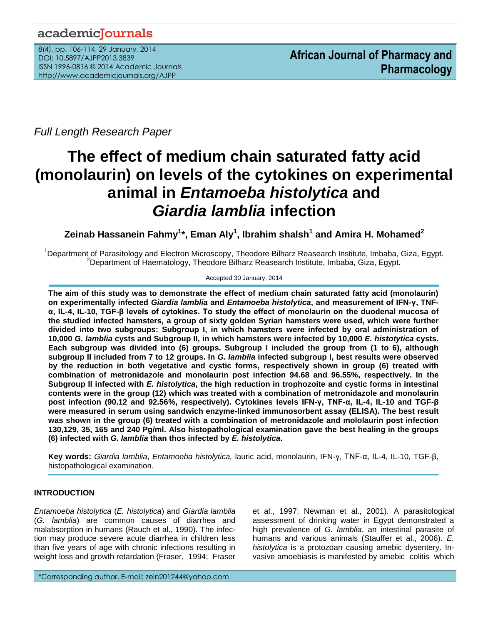# academicJournals

8(4), pp. 106-114, 29 January, 2014 DOI: 10.5897/AJPP2013.3839 ISSN 1996-0816 © 2014 Academic Journals <http://www.academicjournals.org/AJPP>

*Full Length Research Paper*

# **The effect of medium chain saturated fatty acid (monolaurin) on levels of the cytokines on experimental animal in** *Entamoeba histolytica* **and** *Giardia lamblia* **infection**

**Zeinab Hassanein Fahmy<sup>1</sup> \*, Eman Aly<sup>1</sup> , Ibrahim shalsh<sup>1</sup> and Amira H. Mohamed<sup>2</sup>**

<sup>1</sup>Department of Parasitology and Electron Microscopy, Theodore Bilharz Reasearch Institute, Imbaba, Giza, Egypt. <sup>2</sup>Department of Haematology, Theodore Bilharz Reasearch Institute, Imbaba, Giza, Egypt.

# Accepted 30 January, 2014

**The aim of this study was to demonstrate the effect of medium chain saturated fatty acid (monolaurin) on experimentally infected** *Giardia lamblia* **and** *Entamoeba histolytica***, and measurement of IFN-γ, TNFα, IL-4, IL-10, TGF-β levels of cytokines. To study the effect of monolaurin on the duodenal mucosa of the studied infected hamsters, a group of sixty golden Syrian hamsters were used, which were further divided into two subgroups: Subgroup I, in which hamsters were infected by oral administration of 10,000** *G. lamblia* **cysts and Subgroup II, in which hamsters were infected by 10,000** *E. histotytica* **cysts. Each subgroup was divided into (6) groups. Subgroup I included the group from (1 to 6), although subgroup II included from 7 to 12 groups. In** *G. lamblia* **infected subgroup I, best results were observed by the reduction in both vegetative and cystic forms, respectively shown in group (6) treated with combination of metronidazole and monolaurin post infection 94.68 and 96.55%, respectively. In the Subgroup II infected with** *E. histolytica***, the high reduction in trophozoite and cystic forms in intestinal contents were in the group (12) which was treated with a combination of metronidazole and monolaurin post infection (90.12 and 92.56%, respectively). Cytokines levels IFN-γ, TNF-α, IL-4, IL-10 and TGF-β were measured in serum using sandwich enzyme-linked immunosorbent assay (ELISA). The best result was shown in the group (6) treated with a combination of metronidazole and mololaurin post infection 130,129, 35, 165 and 240 Pg/ml. Also histopathological examination gave the best healing in the groups (6) infected with** *G. lamblia* **than thos infected by** *E. histolytica***.**

**Key words:** *Giardia lamblia*, *Entamoeba histolytica,* lauric acid, monolaurin, IFN-γ, TNF-α, IL-4, IL-10, TGF-β, histopathological examination.

# **INTRODUCTION**

*Entamoeba histolytica* (*E. histolytica*) and *Giardia lamblia*  (*G. lamblia*) are common causes of diarrhea and malabsorption in humans (Rauch et al., 1990). The infection may produce severe acute diarrhea in children less than five years of age with chronic infections resulting in weight loss and growth retardation (Fraser, 1994; Fraser

et al., 1997; Newman et al., 2001). A parasitological assessment of drinking water in Egypt demonstrated a high prevalence of *G. lamblia*, an intestinal parasite of humans and various animals (Stauffer et al., 2006). *E. histolytica* is a protozoan causing amebic dysentery. Invasive amoebiasis is manifested by amebic colitis which

\*Corresponding author. E-mail: zein201244@yahoo.com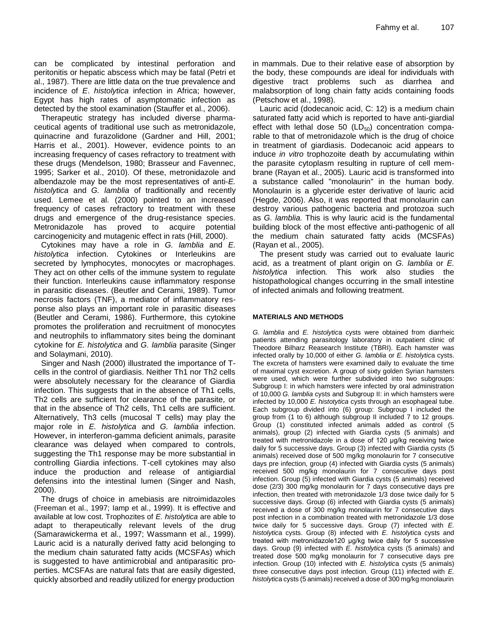can be complicated by intestinal perforation and peritonitis or hepatic abscess which may be fatal (Petri et al., 1987). There are little data on the true prevalence and incidence of *E*. *histolytica* infection in Africa; however, Egypt has high rates of asymptomatic infection as detected by the stool examination (Stauffer et al., 2006).

Therapeutic strategy has included diverse pharmaceutical agents of traditional use such as metronidazole, quinacrine and furazolidone (Gardner and Hill, 2001; Harris et al., 2001). However, evidence points to an increasing frequency of cases refractory to treatment with these drugs (Mendelson, 1980; Brasseur and Favennec, 1995; Sarker et al., 2010). Of these, metronidazole and albendazole may be the most representatives of anti-*E. histolytica* and *G. lamblia* of traditionally and recently used. Lemee et al. (2000) pointed to an increased frequency of cases refractory to treatment with these drugs and emergence of the drug-resistance species. Metronidazole has proved to acquire potential carcinogenicity and mutagenic effect in rats (Hill, 2000).

Cytokines may have a role in *G. lamblia* and *E. histolytica* infection. Cytokines or Interleukins are secreted by lymphocytes, monocytes or macrophages. They act on other cells of the immune system to regulate their function. Interleukins cause inflammatory response in parasitic diseases. (Beutler and Cerami, 1989). Tumor necrosis factors (TNF), a mediator of inflammatory response also plays an important role in parasitic diseases (Beutler and Cerami, 1986). Furthermore, this cytokine promotes the proliferation and recruitment of monocytes and neutrophils to inflammatory sites being the dominant cytokine for *E. histolytica* and *G. lamblia* parasite (Singer and Solaymani, 2010).

Singer and Nash (2000) illustrated the importance of Tcells in the control of giardiasis. Neither Th1 nor Th2 cells were absolutely necessary for the clearance of Giardia infection. This suggests that in the absence of Th1 cells, Th2 cells are sufficient for clearance of the parasite, or that in the absence of Th2 cells, Th1 cells are sufficient. Alternatively, Th3 cells (mucosal T cells) may play the major role in *E. histolytica* and *G. lamblia* infection. However, in interferon-gamma deficient animals, parasite clearance was delayed when compared to controls, suggesting the Th1 response may be more substantial in controlling Giardia infections. T-cell cytokines may also induce the production and release of antigiardial defensins into the intestinal lumen (Singer and Nash, 2000).

The drugs of choice in amebiasis are nitroimidazoles (Freeman et al., 1997; Iamp et al., 1999). It is effective and available at low cost. Trophozites of *E. histolytica* are able to adapt to therapeutically relevant levels of the drug (Samarawickerma et al., 1997; Wassmann et al., 1999). Lauric acid is a naturally derived fatty acid belonging to the medium chain saturated fatty acids (MCSFAs) which is suggested to have antimicrobial and antiparasitic properties. MCSFAs are natural fats that are easily digested, quickly absorbed and readily utilized for energy production

in mammals. Due to their relative ease of absorption by the body, these compounds are ideal for individuals with digestive tract problems such as diarrhea and malabsorption of long chain fatty acids containing foods (Petschow et al., 1998).

Lauric acid (dodecanoic acid, C: 12) is a medium chain saturated fatty acid which is reported to have anti-giardial effect with lethal dose 50  $(LD_{50})$  concentration comparable to that of metronidazole which is the drug of choice in treatment of giardiasis. Dodecanoic acid appears to induce *in vitro* trophozoite death by accumulating within the parasite cytoplasm resulting in rupture of cell membrane (Rayan et al., 2005). Lauric acid is transformed into a substance called "monolaurin" in the human body. Monolaurin is a glyceride ester derivative of lauric acid (Hegde, 2006). Also, it was reported that monolaurin can destroy various pathogenic bacteria and protozoa such as *G. lamblia.* This is why lauric acid is the fundamental building block of the most effective anti-pathogenic of all the medium chain saturated fatty acids (MCSFAs) (Rayan et al., 2005).

The present study was carried out to evaluate lauric acid, as a treatment of plant origin on *G. lamblia* or *E. histolytica* infection*.* This work also studies the histopathological changes occurring in the small intestine of infected animals and following treatment.

# **MATERIALS AND METHODS**

*G. lamblia* and *E. histolytic*a cysts were obtained from diarrheic patients attending parasitology laboratory in outpatient clinic of Theodore Bilharz Reasearch Institute (TBRI). Each hamster was infected orally by 10,000 of either *G. lamblia* or *E. histolytic*a cysts. The excreta of hamsters were examined daily to evaluate the time of maximal cyst excretion. A group of sixty golden Syrian hamsters were used, which were further subdivided into two subgroups: Subgroup I: in which hamsters were infected by oral administration of 10,000 *G. lamblia* cysts and Subgroup II: in which hamsters were infected by 10,000 *E. histotytica* cysts through an esophageal tube. Each subgroup divided into (6) group: Subgroup I included the group from (1 to 6) although subgroup II included 7 to 12 groups. Group (1) constituted infected animals added as control (5 animals), group (2) infected with Giardia cysts (5 animals) and treated with metronidazole in a dose of 120 μg/kg receiving twice daily for 5 successive days. Group (3) infected with Giardia cysts (5 animals) received dose of 500 mg/kg monolaurin for 7 consecutive days pre infection, group (4) infected with Giardia cysts (5 animals) received 500 mg/kg monolaurin for 7 consecutive days post infection. Group (5) infected with Giardia cysts (5 animals) received dose (2/3) 300 mg/kg monolaurin for 7 days consecutive days pre infection, then treated with metronidazole 1/3 dose twice daily for 5 successive days. Group (6) infected with Giardia cysts (5 animals) received a dose of 300 mg/kg monolaurin for 7 consecutive days post infection in a combination treated with metronidazole 1/3 dose twice daily for 5 successive days. Group (7) infected with *E. histolytic*a cysts. Group (8) infected with *E. histolytic*a cysts and treated with metronidazole120 μg/kg twice daily for 5 successive days. Group (9) infected with *E. histolytic*a cysts (5 animals) and treated dose 500 mg/kg monolaurin for 7 consecutive days pre infection. Group (10) infected with *E. histolytic*a cysts (5 animals) three consecutive days post infection. Group (11) infected with *E. histolytic*a cysts (5 animals) received a dose of 300 mg/kg monolaurin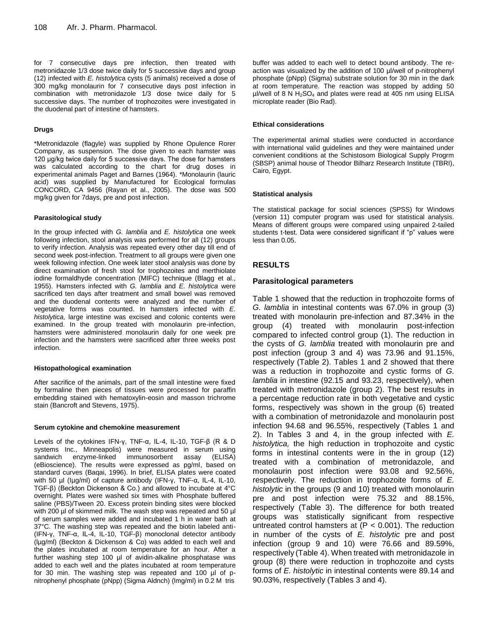for 7 consecutive days pre infection, then treated with metronidazole 1/3 dose twice daily for 5 successive days and group (12) infected with *E. histolytic*a cysts (5 animals) received a dose of 300 mg/kg monolaurin for 7 consecutive days post infection in combination with metronidazole 1/3 dose twice daily for 5 successive days. The number of trophozoites were investigated in the duodenal part of intestine of hamsters.

#### **Drugs**

\*Metronidazole (flagyle) was supplied by Rhone Opulence Rorer Company, as suspension. The dose given to each hamster was 120 μg/kg twice daily for 5 successive days. The dose for hamsters was calculated according to the chart for drug doses in experimental animals Paget and Barnes (1964). \*Monolaurin (lauric acid) was supplied by Manufactured for Ecological formulas CONCORD, CA 9456 (Rayan et al., 2005). The dose was 500 mg/kg given for 7days, pre and post infection.

#### **Parasitological study**

In the group infected with *G. lamblia* and *E. histolytica* one week following infection, stool analysis was performed for all (12) groups to verify infection. Analysis was repeated every other day till end of second week post-infection. Treatment to all groups were given one week following infection. One week later stool analysis was done by direct examination of fresh stool for trophozoites and merthiolate iodine formaldhyde concentration (MIFC) technique (Blagg et al., 1955). Hamsters infected with *G. lamblia* and *E. histolytica* were sacrificed ten days after treatment and small bowel was removed and the duodenal contents were analyzed and the number of vegetative forms was counted. In hamsters infected with *E. histolytica,* large intestine was excised and colonic contents were examined. In the group treated with monolaurin pre-infection, hamsters were administered monolaurin daily for one week pre infection and the hamsters were sacrificed after three weeks post infection.

#### **Histopathological examination**

After sacrifice of the animals, part of the small intestine were fixed by formaline then pieces of tissues were processed for paraffin embedding stained with hematoxylin-eosin and masson trichrome stain (Bancroft and Stevens, 1975).

#### **Serum cytokine and chemokine measurement**

Levels of the cytokines IFN-γ, TNF-α, IL-4, IL-10, TGF-β (R & D systems Inc., Minneapolis) were measured in serum using sandwich enzyme-linked immunosorbent assay (ELISA) (eBioscience). The results were expressed as pg/ml, based on standard curves (Baqai, 1996). In brief, ELISA plates were coated with 50 µl (Iµg/ml) of capture antibody (IFN-γ, TNF-α, IL-4, IL-10, TGF-β) (Beckton Dickenson & Co.) and allowed to incubate at 4°C overnight. Plates were washed six times with Phosphate buffered saline (PBS)/Tween 20. Excess protein binding sites were blocked with 200 µl of skimmed milk. The wash step was repeated and 50 µl of serum samples were added and incubated 1 h in water bath at 37°C. The washing step was repeated and the biotin labeled anti- (IFN-γ, TNF-α, IL-4, IL-10, TGF-β) monoclonal detector antibody (lµg/ml) (Beckton & Dickenson & Co) was added to each well and the plates incubated at room temperature for an hour. After a further washing step 100 µl of avidin-alkaline phosphatase was added to each well and the plates incubated at room temperature for 30 min. The washing step was repeated and 100 µl of pnitrophenyl phosphate (pNpp) (Sigma Aldnch) (lmg/ml) in 0.2 M tris

buffer was added to each well to detect bound antibody. The reaction was visualized by the addition of 100 µl/well of p-nitrophenyl phosphate (pNpp) (Sigma) substrate solution for 30 min in the dark at room temperature. The reaction was stopped by adding 50  $\mu$ I/well of 8 N H<sub>2</sub>SO<sub>4</sub> and plates were read at 405 nm using ELISA microplate reader (Bio Rad).

#### **Ethical considerations**

The experimental animal studies were conducted in accordance with international valid guidelines and they were maintained under convenient conditions at the Schistosom Biological Supply Progrm (SBSP) animal house of Theodor Bilharz Research Institute (TBRI), Cairo, Egypt.

#### **Statistical analysis**

The statistical package for social sciences (SPSS) for Windows (version 11) computer program was used for statistical analysis. Means of different groups were compared using unpaired 2-tailed students t-test. Data were considered significant if "p" values were less than 0.05.

# **RESULTS**

### **Parasitological parameters**

Table 1 showed that the reduction in trophozoite forms of *G. lamblia* in intestinal contents was 67.0% in group (3) treated with monolaurin pre-infection and 87.34% in the group (4) treated with monolaurin post-infection compared to infected control group (1). The reduction in the cysts of *G. lamblia* treated with monolaurin pre and post infection (group 3 and 4) was 73.96 and 91.15%, respectively (Table 2). Tables 1 and 2 showed that there was a reduction in trophozoite and cystic forms of *G. lamblia* in intestine (92.15 and 93.23, respectively), when treated with metronidazole (group 2). The best results in a percentage reduction rate in both vegetative and cystic forms, respectively was shown in the group (6) treated with a combination of metronidazole and monolaurin post infection 94.68 and 96.55%, respectively (Tables 1 and 2). In Tables 3 and 4, in the group infected with *E. histolytica,* the high reduction in trophozoite and cystic forms in intestinal contents were in the in group (12) treated with a combination of metronidazole, and monolaurin post infection were 93.08 and 92.56%, respectively. The reduction in trophozoite forms of *E. histolytic* in the groups (9 and 10) treated with monolaurin pre and post infection were 75.32 and 88.15%, respectively (Table 3). The difference for both treated groups was statistically significant from respective untreated control hamsters at  $(P < 0.001)$ . The reduction in number of the cysts of *E. histolytic* pre and post infection (group 9 and 10) were 76.66 and 89.59%, respectively (Table 4). When treated with metronidazole in group (8) there were reduction in trophozoite and cysts forms of *E. histolytic* in intestinal contents were 89.14 and 90.03%, respectively (Tables 3 and 4).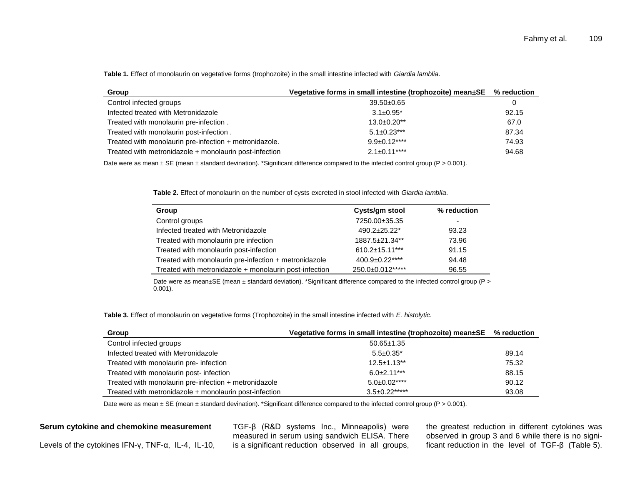| Group                                                  | Vegetative forms in small intestine (trophozoite) mean $\pm$ SE | $\%$ reduction |
|--------------------------------------------------------|-----------------------------------------------------------------|----------------|
| Control infected groups                                | $39.50 \pm 0.65$                                                | 0              |
| Infected treated with Metronidazole                    | $3.1 \pm 0.95^*$                                                | 92.15          |
| Treated with monolaurin pre-infection.                 | $13.0\pm0.20**$                                                 | 67.0           |
| Treated with monolaurin post-infection.                | $5.1 \pm 0.23$ ***                                              | 87.34          |
| Treated with monolaurin pre-infection + metronidazole. | $9.9 \pm 0.12***$                                               | 74.93          |
| Treated with metronidazole + monolaurin post-infection | $2.1 \pm 0.11***$                                               | 94.68          |

**Table 1.** Effect of monolaurin on vegetative forms (trophozoite) in the small intestine infected with *Giardia lamblia*.

Date were as mean  $\pm$  SE (mean  $\pm$  standard devination). \*Significant difference compared to the infected control group (P > 0.001).

**Table 2.** Effect of monolaurin on the number of cysts excreted in stool infected with *Giardia lamblia*.

| Group                                                  | Cysts/gm stool   | % reduction              |
|--------------------------------------------------------|------------------|--------------------------|
| Control groups                                         | 7250.00±35.35    | $\overline{\phantom{0}}$ |
| Infected treated with Metronidazole                    | $490.2 + 25.22*$ | 93.23                    |
| Treated with monolaurin pre infection                  | 1887.5±21.34**   | 73.96                    |
| Treated with monolaurin post-infection                 | 610.2±15.11***   | 91.15                    |
| Treated with monolaurin pre-infection + metronidazole  | 400.9±0.22****   | 94.48                    |
| Treated with metronidazole + monolaurin post-infection | 250.0±0.012***** | 96.55                    |

Date were as mean±SE (mean ± standard deviation). \*Significant difference compared to the infected control group (P > 0.001).

**Table 3.** Effect of monolaurin on vegetative forms (Trophozoite) in the small intestine infected with *E. histolytic.*

| Group                                                  | Vegetative forms in small intestine (trophozoite) mean $\pm$ SE % reduction |       |
|--------------------------------------------------------|-----------------------------------------------------------------------------|-------|
| Control infected groups                                | $50.65 \pm 1.35$                                                            |       |
| Infected treated with Metronidazole                    | $5.5 \pm 0.35^*$                                                            | 89.14 |
| Treated with monolaurin pre- infection                 | $12.5 \pm 1.13$ **                                                          | 75.32 |
| Treated with monolaurin post- infection                | $6.0+2.11***$                                                               | 88.15 |
| Treated with monolaurin pre-infection + metronidazole  | $5.0 \pm 0.02***$                                                           | 90.12 |
| Treated with metronidazole + monolaurin post-infection | $3.5\pm0.22***$                                                             | 93.08 |

Date were as mean  $\pm$  SE (mean  $\pm$  standard devination). \*Significant difference compared to the infected control group (P > 0.001).

#### **Serum cytokine and chemokine measurement**

Levels of the cytokines IFN-γ, TNF-α, IL-4, IL-10,

TGF-β (R&D systems Inc., Minneapolis) were measured in serum using sandwich ELISA. There is a significant reduction observed in all groups,

the greatest reduction in different cytokines was observed in group 3 and 6 while there is no significant reduction in the level of TGF-β (Table 5).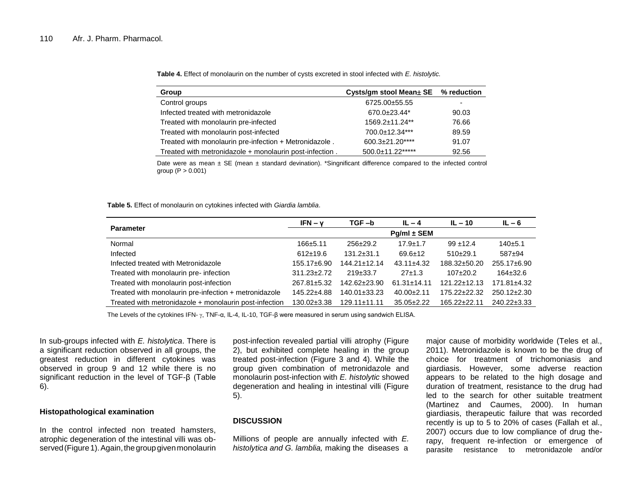| Group                                                   | Cysts/gm stool Mean± SE % reduction |                          |
|---------------------------------------------------------|-------------------------------------|--------------------------|
| Control groups                                          | 6725.00±55.55                       | $\overline{\phantom{0}}$ |
| Infected treated with metronidazole                     | $670.0+23.44*$                      | 90.03                    |
| Treated with monolaurin pre-infected                    | 1569.2±11.24**                      | 76.66                    |
| Treated with monolaurin post-infected                   | 700.0±12.34***                      | 89.59                    |
| Treated with monolaurin pre-infection + Metronidazole.  | 600.3±21.20****                     | 91.07                    |
| Treated with metronidazole + monolaurin post-infection. | 500.0±11.22*****                    | 92.56                    |

**Table 4.** Effect of monolaurin on the number of cysts excreted in stool infected with *E. histolytic.*

Date were as mean  $\pm$  SE (mean  $\pm$  standard devination). \*Singnificant difference compared to the infected control group  $(P > 0.001)$ 

**Table 5.** Effect of monolaurin on cytokines infected with *Giardia lamblia*.

|                                                        | $IFN - V$         | $TGF - b$          | $IL - 4$          | $IL - 10$          | $IL - 6$          |
|--------------------------------------------------------|-------------------|--------------------|-------------------|--------------------|-------------------|
| <b>Parameter</b>                                       |                   |                    | $Pg/ml \pm SEM$   |                    |                   |
| Normal                                                 | $166 + 5.11$      | $256 \pm 29.2$     | $17.9 \pm 1.7$    | $99 + 12.4$        | $140+5.1$         |
| Infected                                               | $612+19.6$        | $131.2 \pm 31.1$   | $69.6 \pm 12$     | $510+29.1$         | 587±94            |
| Infected treated with Metronidazole                    | 155.17±6.90       | $144.21 \pm 12.14$ | $43.11 \pm 4.32$  | 188.32±50.20       | 255.17±6.90       |
| Treated with monolaurin pre- infection                 | $311.23 \pm 2.72$ | $219\pm 33.7$      | 27±1.3            | $107+20.2$         | $164\pm32.6$      |
| Treated with monolaurin post-infection                 | 267.81±5.32       | 142.62±23.90       | $61.31 \pm 14.11$ | $121.22 \pm 12.13$ | $171.81 \pm 4.32$ |
| Treated with monolaurin pre-infection + metronidazole  | 145.22±4.88       | $140.01 \pm 33.23$ | $40.00+2.11$      | 175.22±22.32       | $250.12 \pm 2.30$ |
| Treated with metronidazole + monolaurin post-infection | 130.02±3.38       | $129.11 \pm 11.11$ | $35.05 \pm 2.22$  | $165.22 \pm 22.11$ | $240.22 \pm 3.33$ |

The Levels of the cytokines IFN- γ, TNF-α, IL-4, IL-10, TGF-β were measured in serum using sandwich ELISA.

In sub-groups infected with *E. histolytica*. There is a significant reduction observed in all groups, the greatest reduction in different cytokines was observed in group 9 and 12 while there is no significant reduction in the level of TGF-β (Table 6).

#### **Histopathological examination**

In the control infected non treated hamsters, atrophic degeneration of the intestinal villi was observed (Figure 1). Again, the group given monolaurin

post-infection revealed partial villi atrophy (Figure 2), but exhibited complete healing in the group treated post-infection (Figure 3 and 4). While the group given combination of metronidazole and monolaurin post-infection with *E. histolytic* showed degeneration and healing in intestinal villi (Figure 5).

#### **DISCUSSION**

Millions of people are annually infected with *E. histolytica and G. lamblia,* making the diseases a

major cause of morbidity worldwide (Teles et al., 2011). Metronidazole is known to be the drug of choice for treatment of trichomoniasis and giardiasis. However, some adverse reaction appears to be related to the high dosage and duration of treatment, resistance to the drug had led to the search for other suitable treatment (Martinez and Caumes, 2000). In human giardiasis, therapeutic failure that was recorded recently is up to 5 to 20% of cases (Fallah et al., 2007) occurs due to low compliance of drug therapy, frequent re-infection or emergence of parasite resistance to metronidazole and/or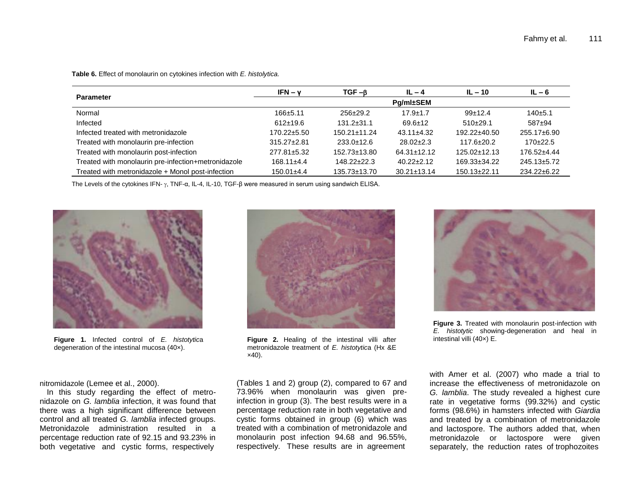| <b>Parameter</b>                                    | $IFN - v$         | $TGF -β$           | $IL - 4$          | $IL - 10$        | $IL - 6$          |
|-----------------------------------------------------|-------------------|--------------------|-------------------|------------------|-------------------|
|                                                     | Pg/ml±SEM         |                    |                   |                  |                   |
| Normal                                              | $166 \pm 5.11$    | $256 \pm 29.2$     | $17.9 \pm 1.7$    | $99+12.4$        | $140+5.1$         |
| Infected                                            | $612 \pm 19.6$    | $131.2 \pm 31.1$   | $69.6 \pm 12$     | $510+29.1$       | $587+94$          |
| Infected treated with metronidazole                 | $170.22 \pm 5.50$ | $150.21 \pm 11.24$ | $43.11 \pm 4.32$  | 192.22±40.50     | $255.17 \pm 6.90$ |
| Treated with monolaurin pre-infection               | $315.27 \pm 2.81$ | $233.0 \pm 12.6$   | $28.02 \pm 2.3$   | $117.6 \pm 20.2$ | $170+22.5$        |
| Treated with monolaurin post-infection              | 277.81±5.32       | 152.73±13.80       | $64.31 \pm 12.12$ | 125.02±12.13     | 176.52±4.44       |
| Treated with monolaurin pre-infection+metronidazole | $168.11 \pm 4.4$  | $148.22 \pm 22.3$  | $40.22 \pm 2.12$  | 169.33±34.22     | 245.13±5.72       |
| Treated with metronidazole + Monol post-infection   | $150.01 \pm 4.4$  | 135.73±13.70       | $30.21 \pm 13.14$ | 150.13±22.11     | 234.22±6.22       |

**Table 6.** Effect of monolaurin on cytokines infection with *E. histolytica.*

The Levels of the cytokines IFN-  $\gamma$ , TNF- $\alpha$ , IL-4, IL-10, TGF- $\beta$  were measured in serum using sandwich ELISA.



**Figure 1.** Infected control of *E. histotytic*a degeneration of the intestinal mucosa (40×).



**Figure 2.** Healing of the intestinal villi after metronidazole treatment of *E. histotytic*a (Hx &E  $\times$ 40).



**Figure 3.** Treated with monolaurin post-infection with *E. histotytic* showing-degeneration and heal in intestinal villi (40×) E.

nitromidazole (Lemee et al., 2000).

In this study regarding the effect of metronidazole on *G. lamblia* infection, it was found that there was a high significant difference between control and all treated *G. lamblia* infected groups. Metronidazole administration resulted in a percentage reduction rate of 92.15 and 93.23% in both vegetative and cystic forms, respectively

(Tables 1 and 2) group (2), compared to 67 and 73.96% when monolaurin was given preinfection in group (3). The best results were in a percentage reduction rate in both vegetative and cystic forms obtained in group (6) which was treated with a combination of metronidazole and monolaurin post infection 94.68 and 96.55%, respectively. These results are in agreement

with Amer et al. (2007) who made a trial to increase the effectiveness of metronidazole on *G. lamblia*. The study revealed a highest cure rate in vegetative forms (99.32%) and cystic forms (98.6%) in hamsters infected with *Giardia*  and treated by a combination of metronidazole and lactospore. The authors added that, when metronidazole or lactospore were given separately, the reduction rates of trophozoites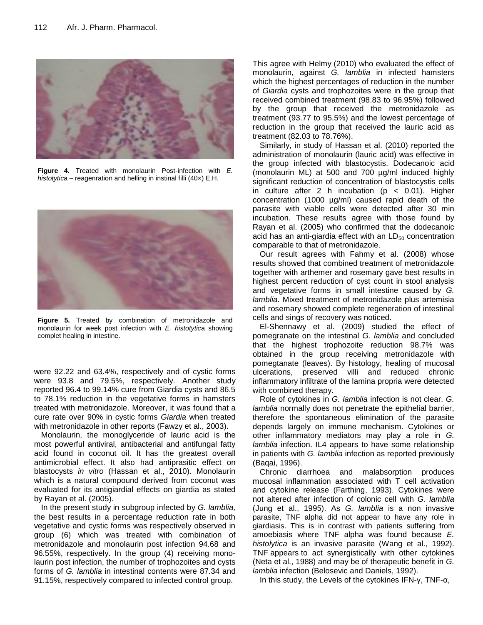

**Figure 4.** Treated with monolaurin Post-infection with *E. histotytic*a – reagenration and helling in instinal filli (40×) E.H.



**Figure 5.** Treated by combination of metronidazole and monolaurin for week post infection with *E. histotytic*a showing complet healing in intestine.

were 92.22 and 63.4%, respectively and of cystic forms were 93.8 and 79.5%, respectively. Another study reported 96.4 to 99.14% cure from Giardia cysts and 86.5 to 78.1% reduction in the vegetative forms in hamsters treated with metronidazole. Moreover, it was found that a cure rate over 90% in cystic forms *Giardia* when treated with metronidazole in other reports (Fawzy et al., 2003).

Monolaurin, the monoglyceride of lauric acid is the most powerful antiviral, antibacterial and antifungal fatty acid found in coconut oil. It has the greatest overall antimicrobial effect. It also had antiprasitic effect on blastocysts *in vitro* (Hassan et al., 2010). Monolaurin which is a natural compound derived from coconut was evaluated for its antigiardial effects on giardia as stated by Rayan et al. (2005).

In the present study in subgroup infected by *G. lamblia,* the best results in a percentage reduction rate in both vegetative and cystic forms was respectively observed in group (6) which was treated with combination of metronidazole and monolaurin post infection 94.68 and 96.55%, respectively. In the group (4) receiving monolaurin post infection, the number of trophozoites and cysts forms of *G. lamblia* in intestinal contents were 87.34 and 91.15%, respectively compared to infected control group.

This agree with Helmy (2010) who evaluated the effect of monolaurin, against *G. lamblia* in infected hamsters which the highest percentages of reduction in the number of *Giardia* cysts and trophozoites were in the group that received combined treatment (98.83 to 96.95%) followed by the group that received the metronidazole as treatment (93.77 to 95.5%) and the lowest percentage of reduction in the group that received the lauric acid as treatment (82.03 to 78.76%).

Similarly, in study of Hassan et al. (2010) reported the administration of monolaurin (lauric acid) was effective in the group infected with blastocystis. Dodecanoic acid (monolaurin ML) at 500 and 700 µg/ml induced highly significant reduction of concentration of blastocystis cells in culture after 2 h incubation ( $p < 0.01$ ). Higher concentration (1000 µg/ml) caused rapid death of the parasite with viable cells were detected after 30 min incubation. These results agree with those found by Rayan et al. (2005) who confirmed that the dodecanoic acid has an anti-giardia effect with an  $LD_{50}$  concentration comparable to that of metronidazole.

Our result agrees with Fahmy et al. (2008) whose results showed that combined treatment of metronidazole together with arthemer and rosemary gave best results in highest percent reduction of cyst count in stool analysis and vegetative forms in small intestine caused by *G. lamblia*. Mixed treatment of metronidazole plus artemisia and rosemary showed complete regeneration of intestinal cells and sings of recovery was noticed.

El-Shennawy et al. (2009) studied the effect of pomegranate on the intestinal *G. lamblia* and concluded that the highest trophozoite reduction 98.7% was obtained in the group receiving metronidazole with pomegtanate (leaves). By histology, healing of mucosal ulcerations, preserved villi and reduced chronic inflammatory infiltrate of the lamina propria were detected with combined therapy.

Role of cytokines in *G. lamblia* infection is not clear. *G. lamblia* normally does not penetrate the epithelial barrier, therefore the spontaneous elimination of the parasite depends largely on immune mechanism. Cytokines or other inflammatory mediators may play a role in *G. lamblia* infection. IL4 appears to have some relationship in patients with *G. lamblia* infection as reported previously (Baqai, 1996).

Chronic diarrhoea and malabsorption produces mucosal inflammation associated with T cell activation and cytokine release (Farthing, 1993). Cytokines were not altered after infection of colonic cell with *G. lamblia* (Jung et al., 1995). As *G. lamblia* is a non invasive parasite, TNF alpha did not appear to have any role in giardiasis. This is in contrast with patients suffering from amoebiasis where TNF alpha was found because *E. histolytica* is an invasive parasite (Wang et al., 1992). TNF appears to act synergistically with other cytokines (Neta et al., 1988) and may be of therapeutic benefit in *G. lamblia* infection (Belosevic and Daniels, 1992).

In this study, the Levels of the cytokines IFN- $\gamma$ , TNF- $\alpha$ ,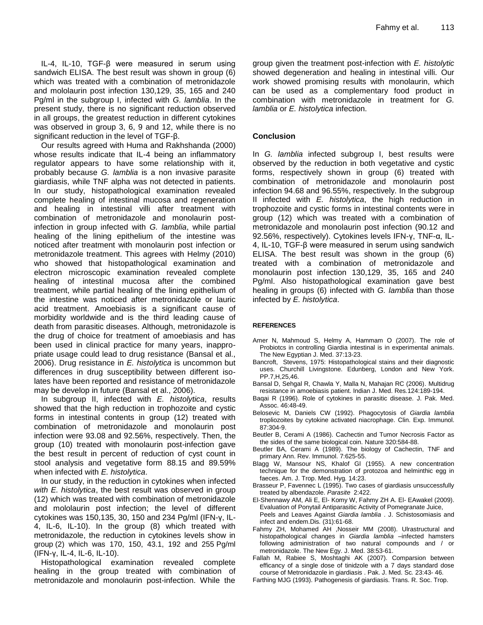IL-4, IL-10, TGF-β were measured in serum using sandwich ELISA. The best result was shown in group (6) which was treated with a combination of metronidazole and mololaurin post infection 130,129, 35, 165 and 240 Pg/ml in the subgroup I, infected with *G. lamblia*. In the present study, there is no significant reduction observed in all groups, the greatest reduction in different cytokines was observed in group 3, 6, 9 and 12, while there is no significant reduction in the level of TGF-β.

Our results agreed with Huma and Rakhshanda (2000) whose results indicate that IL-4 being an inflammatory regulator appears to have some relationship with it, probably because *G. lamblia* is a non invasive parasite giardiasis, while TNF alpha was not detected in patients. In our study, histopathological examination revealed complete healing of intestinal mucosa and regeneration and healing in intestinal villi after treatment with combination of metronidazole and monolaurin postinfection in group infected with *G. lamblia*, while partial healing of the lining epithelium of the intestine was noticed after treatment with monolaurin post infection or metronidazole treatment. This agrees with Helmy (2010) who showed that histopathological examination and electron microscopic examination revealed complete healing of intestinal mucosa after the combined treatment, while partial healing of the lining epithelium of the intestine was noticed after metronidazole or lauric acid treatment. Amoebiasis is a significant cause of morbidity worldwide and is the third leading cause of death from parasitic diseases. Although, metronidazole is the drug of choice for treatment of amoebiasis and has been used in clinical practice for many years, inappropriate usage could lead to drug resistance (Bansal et al., 2006). Drug resistance in *E. histolytica* is uncommon but differences in drug susceptibility between different isolates have been reported and resistance of metronidazole may be develop in future (Bansal et al., 2006).

In subgroup II, infected with *E. histolytica*, results showed that the high reduction in trophozoite and cystic forms in intestinal contents in group (12) treated with combination of metronidazole and monolaurin post infection were 93.08 and 92.56%, respectively. Then, the group (10) treated with monolaurin post-infection gave the best result in percent of reduction of cyst count in stool analysis and vegetative form 88.15 and 89.59% when infected with *E. histolytica*.

In our study, in the reduction in cytokines when infected *with E. histolytica*, the best result was observed in group (12) which was treated with combination of metronidazole and mololaurin post infection; the level of different cytokines was 150,135, 30, 150 and 234 Pg/ml (IFN-γ, IL-4, IL-6, IL-10). In the group (8) which treated with metronidazole, the reduction in cytokines levels show in group (2) which was 170, 150, 43.1, 192 and 255 Pg/ml (IFN-γ, IL-4, IL-6, IL-10).

Histopathological examination revealed complete healing in the group treated with combination of metronidazole and monolaurin post-infection. While the group given the treatment post-infection with *E. histolytic* showed degeneration and healing in intestinal villi. Our work showed promising results with monolaurin, which can be used as a complementary food product in combination with metronidazole in treatment for *G. lamblia* or *E. histolytica* infection.

# **Conclusion**

In *G. lamblia* infected subgroup I, best results were observed by the reduction in both vegetative and cystic forms, respectively shown in group (6) treated with combination of metronidazole and monolaurin post infection 94.68 and 96.55%, respectively. In the subgroup II infected with *E. histolytica*, the high reduction in trophozoite and cystic forms in intestinal contents were in group (12) which was treated with a combination of metronidazole and monolaurin post infection (90.12 and 92.56%, respectively). Cytokines levels IFN-γ, TNF-α, IL-4, IL-10, TGF-β were measured in serum using sandwich ELISA. The best result was shown in the group (6) treated with a combination of metronidazole and monolaurin post infection 130,129, 35, 165 and 240 Pg/ml. Also histopathological examination gave best healing in groups (6) infected with *G. lamblia* than those infected by *E. histolytica*.

# **REFERENCES**

- Amer N, Mahmoud S, Helmy A, Hammam O (2007). The role of Probiotcs in controlling Giardia intestinal is in experimental animals. The New Egyptian J. Med. 37:13-23.
- Bancroft, Stevens, 1975: Histopathological stains and their diagnostic uses. Churchill Livingstone. Edunberg, London and New York. PP.7,H,25,46.
- Bansal D, Sehgal R, Chawla Y, Malla N, Mahajan RC (2006). Multidrug resistance in amoebiasis patient. Indian J. Med. Res*.*124:189-194.
- Baqai R (1996). Role of cytokines in parasitic disease. J. Pak. Med. Assoc. 46:48-49.
- Belosevic M, Daniels CW (1992). Phagocytosis of *Giardia lamblia* tropliozoites by cytokine activated niacrophage. Clin. Exp. Immunol. 87:304-9.
- Beutler B, Cerami A (1986). Cachectin and Tumor Necrosis Factor as the sides of the same biological coin. Nature 320:584-88.
- Beutler BA, Cerami A (1989). The biology of Cachectin, TNF and primary Ann. Rev. Immunol. 7:625-55.
- Blagg W, Mansour NS, Khalof Gl (1955). A new concentration technique for the demonstration of protozoa and helminthic egg in faeces. Am. J. Trop. Med. Hyg*.* 14:23.
- Brasseur P, Favennec L (1995). Two cases of giardiasis unsuccessfully treated by albendazole. *Parasite* 2:422.
- El-Shennawy AM, Ali E, El- Komy W, Fahmy ZH A. El- EAwakel (2009). Evaluation of Ponytail Antiparasitic Activity of Pomegranate Juice, Peels and Leaves Against *Giardia lamblia* . J. Schistosomiasis and infect and endem.Dis*.* (31):61-68.
- Fahmy ZH, Mohamed AH ,Nosseir MM (2008). Ulrastructural and histopathological changes in *Giardia lamblia* -infected hamsters following administration of two natural compounds and / or metronidazole. The New Egy. J. Med. 38:53-61.
- Fallah M, Rabiee S, Moshtaghi AK (2007). Comparsion between efficancy of a single dose of tinidzole with a 7 days standard dose course of Metronidazole in giardiasis . Pak. J. Med. Sc*.* 23:43- 46.
- Farthing MJG (1993). Pathogenesis of giardiasis. Trans. R. Soc. Trop.